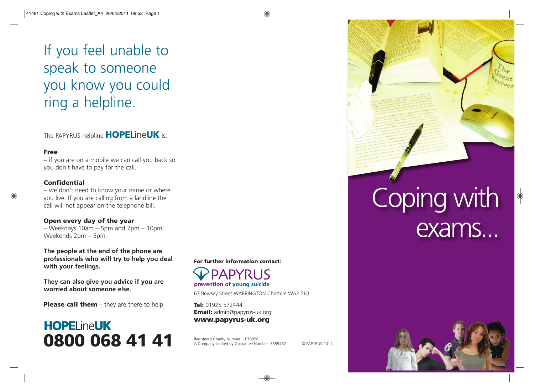If you feel unable to speak to someone you know you could ring a helpline.

The PAPYRUS helpline **HOPE**Line**UK** is:

#### **Free**

– if you are on a mobile we can call you back so you don't have to pay for the call.

### **Confidential**

– we don't need to know your name or where you live. If you are calling from a landline the call will not appear on the telephone bill.

### **Open every day of the year**

– Weekdays 10am – 5pm and 7pm – 10pm. Weekends 2pm – 5pm.

**The people at the end of the phone are professionals who will try to help you deal with your feelings.**

**They can also give you advice if you are worried about someone else.**

**Please call them** – they are there to help.

## **HOPE**Line**UK 0800 068 41 41**

**For further information contact:**

**PAPYRUS** prevention of young suicide

67 Bewsey Street WARRINGTON Cheshire WA2 7JQ

**Tel:** 01925 572444 **Email:** admin@papyrus-uk.org **www.papyrus-uk.org**

Registered Charity Number: 1070896. A Company Limited by Guarantee Number: 3555482. © PAPYRUS 2011.